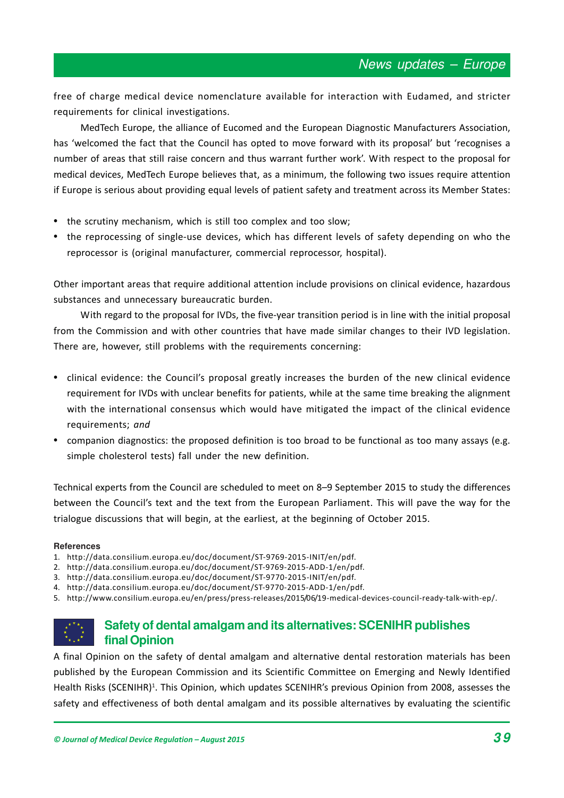free of charge medical device nomenclature available for interaction with Eudamed, and stricter requirements for clinical investigations.

MedTech Europe, the alliance of Eucomed and the European Diagnostic Manufacturers Association, has 'welcomed the fact that the Council has opted to move forward with its proposal' but 'recognises a number of areas that still raise concern and thus warrant further work. With respect to the proposal for medical devices, MedTech Europe believes that, as a minimum, the following two issues require attention if Europe is serious about providing equal levels of patient safety and treatment across its Member States:

- the scrutiny mechanism, which is still too complex and too slow;
- the reprocessing of single-use devices, which has different levels of safety depending on who the reprocessor is (original manufacturer, commercial reprocessor, hospital).

Other important areas that require additional attention include provisions on clinical evidence, hazardous substances and unnecessary bureaucratic burden.

With regard to the proposal for IVDs, the five-year transition period is in line with the initial proposal from the Commission and with other countries that have made similar changes to their IVD legislation. There are, however, still problems with the requirements concerning:

- clinical evidence: the Council's proposal greatly increases the burden of the new clinical evidence requirement for IVDs with unclear benefits for patients, while at the same time breaking the alignment with the international consensus which would have mitigated the impact of the clinical evidence requirements; *and*
- companion diagnostics: the proposed definition is too broad to be functional as too many assays (e.g. simple cholesterol tests) fall under the new definition.

Technical experts from the Council are scheduled to meet on 8-9 September 2015 to study the differences between the Council's text and the text from the European Parliament. This will pave the way for the trialogue discussions that will begin, at the earliest, at the beginning of October 2015.

### **References**

- 1. http://data.consilium.europa.eu/doc/document/ST-9769-2015-INIT/en/pdf.
- 2. http://data.consilium.europa.eu/doc/document/ST-9769-2015-ADD-1/en/pdf.
- 3. http://data.consilium.europa.eu/doc/document/ST-9770-2015-INIT/en/pdf.
- 4. http://data.consilium.europa.eu/doc/document/ST-9770-2015-ADD-1/en/pdf.
- 5. http://www.consilium.europa.eu/en/press/press-releases/2015/06/19-medical-devices-council-ready-talk-with-ep/.

# **Safety of dental amalgam and its alternatives: SCENIHR publishes final Opinion**

A final Opinion on the safety of dental amalgam and alternative dental restoration materials has been published by the European Commission and its Scientific Committee on Emerging and Newly Identified Health Risks (SCENIHR)<sup>1</sup>. This Opinion, which updates SCENIHR's previous Opinion from 2008, assesses the safety and effectiveness of both dental amalgam and its possible alternatives by evaluating the scientific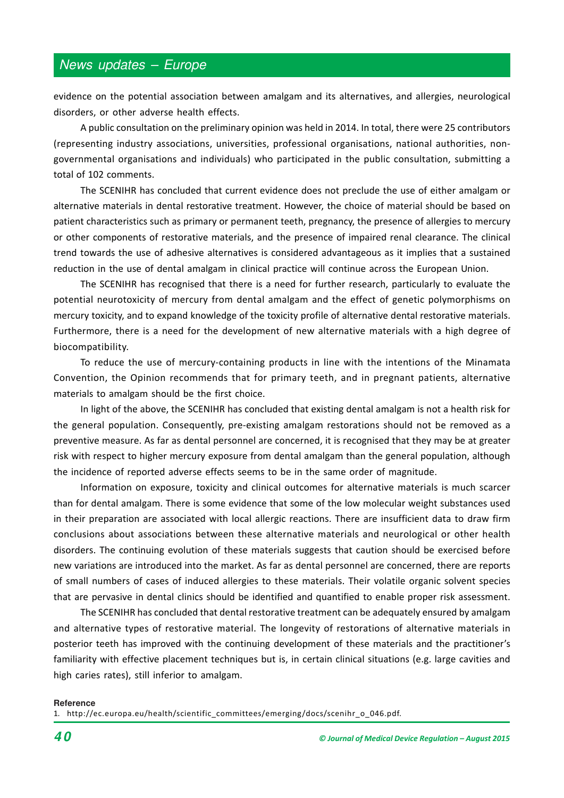# News updates – Europe

evidence on the potential association between amalgam and its alternatives, and allergies, neurological disorders, or other adverse health effects.

A public consultation on the preliminary opinion was held in 2014. In total, there were 25 contributors (representing industry associations, universities, professional organisations, national authorities, nongovernmental organisations and individuals) who participated in the public consultation, submitting a total of 102 comments.

The SCENIHR has concluded that current evidence does not preclude the use of either amalgam or alternative materials in dental restorative treatment. However, the choice of material should be based on patient characteristics such as primary or permanent teeth, pregnancy, the presence of allergies to mercury or other components of restorative materials, and the presence of impaired renal clearance. The clinical trend towards the use of adhesive alternatives is considered advantageous as it implies that a sustained reduction in the use of dental amalgam in clinical practice will continue across the European Union.

The SCENIHR has recognised that there is a need for further research, particularly to evaluate the potential neurotoxicity of mercury from dental amalgam and the effect of genetic polymorphisms on mercury toxicity, and to expand knowledge of the toxicity profile of alternative dental restorative materials. Furthermore, there is a need for the development of new alternative materials with a high degree of biocompatibility.

To reduce the use of mercury-containing products in line with the intentions of the Minamata Convention, the Opinion recommends that for primary teeth, and in pregnant patients, alternative materials to amalgam should be the first choice.

In light of the above, the SCENIHR has concluded that existing dental amalgam is not a health risk for the general population. Consequently, pre-existing amalgam restorations should not be removed as a preventive measure. As far as dental personnel are concerned, it is recognised that they may be at greater risk with respect to higher mercury exposure from dental amalgam than the general population, although the incidence of reported adverse effects seems to be in the same order of magnitude.

Information on exposure, toxicity and clinical outcomes for alternative materials is much scarcer than for dental amalgam. There is some evidence that some of the low molecular weight substances used in their preparation are associated with local allergic reactions. There are insufficient data to draw firm conclusions about associations between these alternative materials and neurological or other health disorders. The continuing evolution of these materials suggests that caution should be exercised before new variations are introduced into the market. As far as dental personnel are concerned, there are reports of small numbers of cases of induced allergies to these materials. Their volatile organic solvent species that are pervasive in dental clinics should be identified and quantified to enable proper risk assessment.

The SCENIHR has concluded that dental restorative treatment can be adequately ensured by amalgam and alternative types of restorative material. The longevity of restorations of alternative materials in posterior teeth has improved with the continuing development of these materials and the practitioner's familiarity with effective placement techniques but is, in certain clinical situations (e.g. large cavities and high caries rates), still inferior to amalgam.

#### **Reference**

1. http://ec.europa.eu/health/scientific\_committees/emerging/docs/scenihr\_o\_046.pdf.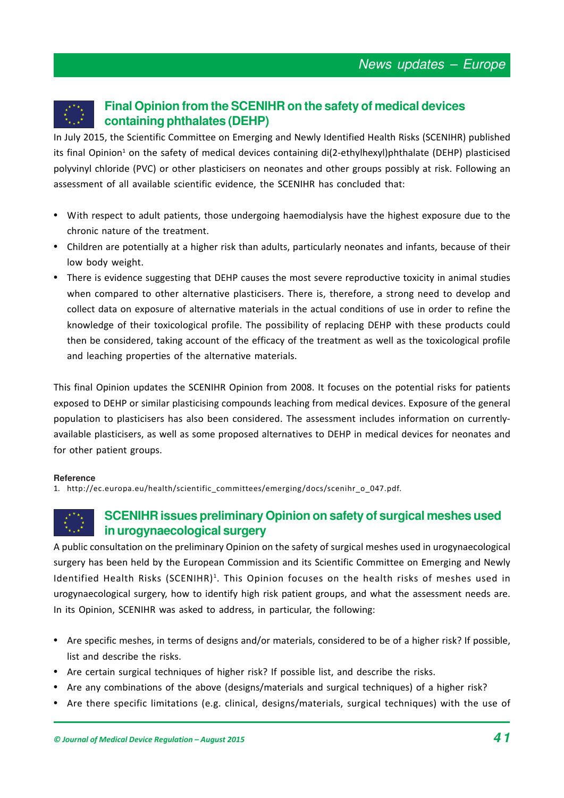# **Final Opinion from the SCENIHR on the safety of medical devices containing phthalates (DEHP)**

In July 2015, the Scientific Committee on Emerging and Newly Identified Health Risks (SCENIHR) published its final Opinion<sup>1</sup> on the safety of medical devices containing di(2-ethylhexyl)phthalate (DEHP) plasticised polyvinyl chloride (PVC) or other plasticisers on neonates and other groups possibly at risk. Following an assessment of all available scientific evidence, the SCENIHR has concluded that:

- With respect to adult patients, those undergoing haemodialysis have the highest exposure due to the chronic nature of the treatment.
- Children are potentially at a higher risk than adults, particularly neonates and infants, because of their low body weight.
- There is evidence suggesting that DEHP causes the most severe reproductive toxicity in animal studies when compared to other alternative plasticisers. There is, therefore, a strong need to develop and collect data on exposure of alternative materials in the actual conditions of use in order to refine the knowledge of their toxicological profile. The possibility of replacing DEHP with these products could then be considered, taking account of the efficacy of the treatment as well as the toxicological profile and leaching properties of the alternative materials.

This final Opinion updates the SCENIHR Opinion from 2008. It focuses on the potential risks for patients exposed to DEHP or similar plasticising compounds leaching from medical devices. Exposure of the general population to plasticisers has also been considered. The assessment includes information on currentlyavailable plasticisers, as well as some proposed alternatives to DEHP in medical devices for neonates and for other patient groups.

### **Reference**

1. http://ec.europa.eu/health/scientific\_committees/emerging/docs/scenihr\_o\_047.pdf.

# **SCENIHR issues preliminary Opinion on safety of surgical meshes used in urogynaecological surgery**

A public consultation on the preliminary Opinion on the safety of surgical meshes used in urogynaecological surgery has been held by the European Commission and its Scientific Committee on Emerging and Newly Identified Health Risks (SCENIHR)<sup>1</sup>. This Opinion focuses on the health risks of meshes used in urogynaecological surgery, how to identify high risk patient groups, and what the assessment needs are. In its Opinion, SCENIHR was asked to address, in particular, the following:

- Are specific meshes, in terms of designs and/or materials, considered to be of a higher risk? If possible, list and describe the risks.
- Are certain surgical techniques of higher risk? If possible list, and describe the risks.
- Are any combinations of the above (designs/materials and surgical techniques) of a higher risk?
- Are there specific limitations (e.g. clinical, designs/materials, surgical techniques) with the use of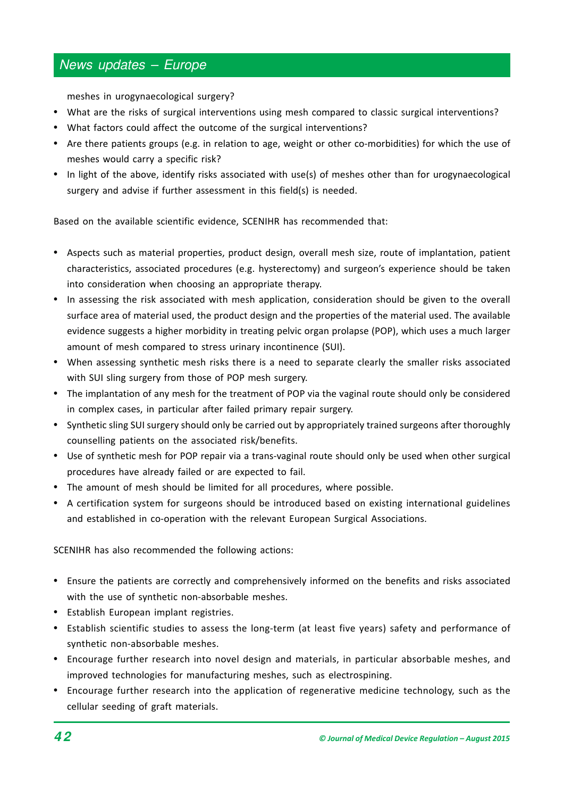# News updates – Europe

meshes in urogynaecological surgery?

- What are the risks of surgical interventions using mesh compared to classic surgical interventions?
- What factors could affect the outcome of the surgical interventions?
- Are there patients groups (e.g. in relation to age, weight or other co-morbidities) for which the use of meshes would carry a specific risk?
- In light of the above, identify risks associated with use(s) of meshes other than for urogynaecological surgery and advise if further assessment in this field(s) is needed.

Based on the available scientific evidence, SCENIHR has recommended that:

- Aspects such as material properties, product design, overall mesh size, route of implantation, patient characteristics, associated procedures (e.g. hysterectomy) and surgeon's experience should be taken into consideration when choosing an appropriate therapy.
- In assessing the risk associated with mesh application, consideration should be given to the overall surface area of material used, the product design and the properties of the material used. The available evidence suggests a higher morbidity in treating pelvic organ prolapse (POP), which uses a much larger amount of mesh compared to stress urinary incontinence (SUI).
- When assessing synthetic mesh risks there is a need to separate clearly the smaller risks associated with SUI sling surgery from those of POP mesh surgery.
- The implantation of any mesh for the treatment of POP via the vaginal route should only be considered in complex cases, in particular after failed primary repair surgery.
- Synthetic sling SUI surgery should only be carried out by appropriately trained surgeons after thoroughly counselling patients on the associated risk/benefits.
- Use of synthetic mesh for POP repair via a trans-vaginal route should only be used when other surgical procedures have already failed or are expected to fail.
- The amount of mesh should be limited for all procedures, where possible.
- A certification system for surgeons should be introduced based on existing international guidelines and established in co-operation with the relevant European Surgical Associations.

SCENIHR has also recommended the following actions:

- Ensure the patients are correctly and comprehensively informed on the benefits and risks associated with the use of synthetic non-absorbable meshes.
- Establish European implant registries.
- Establish scientific studies to assess the long-term (at least five years) safety and performance of synthetic non-absorbable meshes.
- Encourage further research into novel design and materials, in particular absorbable meshes, and improved technologies for manufacturing meshes, such as electrospining.
- Encourage further research into the application of regenerative medicine technology, such as the cellular seeding of graft materials.